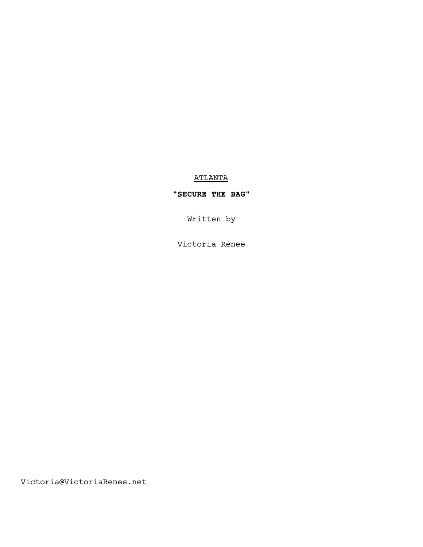# ATLANTA

# **"SECURE THE BAG"**

Written by

Victoria Renee

Victoria@VictoriaRenee.net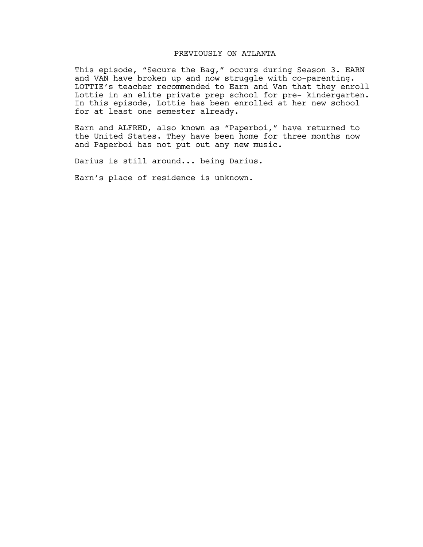# PREVIOUSLY ON ATLANTA

This episode, "Secure the Bag," occurs during Season 3. EARN and VAN have broken up and now struggle with co-parenting. LOTTIE's teacher recommended to Earn and Van that they enroll Lottie in an elite private prep school for pre- kindergarten. In this episode, Lottie has been enrolled at her new school for at least one semester already.

Earn and ALFRED, also known as "Paperboi," have returned to the United States. They have been home for three months now and Paperboi has not put out any new music.

Darius is still around... being Darius.

Earn's place of residence is unknown.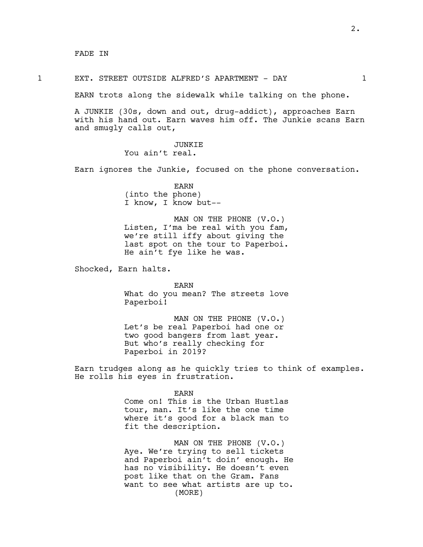FADE IN

#### 1 EXT. STREET OUTSIDE ALFRED'S APARTMENT - DAY 1

EARN trots along the sidewalk while talking on the phone.

A JUNKIE (30s, down and out, drug-addict), approaches Earn with his hand out. Earn waves him off. The Junkie scans Earn and smugly calls out,

> JUNKIE You ain't real.

Earn ignores the Junkie, focused on the phone conversation.

EARN (into the phone) I know, I know but--

MAN ON THE PHONE (V.O.) Listen, I'ma be real with you fam, we're still iffy about giving the last spot on the tour to Paperboi. He ain't fye like he was.

Shocked, Earn halts.

EARN What do you mean? The streets love Paperboi!

MAN ON THE PHONE (V.O.) Let's be real Paperboi had one or two good bangers from last year. But who's really checking for Paperboi in 2019?

Earn trudges along as he quickly tries to think of examples. He rolls his eyes in frustration.

> EARN Come on! This is the Urban Hustlas tour, man. It's like the one time where it's good for a black man to fit the description.

MAN ON THE PHONE (V.O.) Aye. We're trying to sell tickets and Paperboi ain't doin' enough. He has no visibility. He doesn't even post like that on the Gram. Fans want to see what artists are up to. (MORE)

2.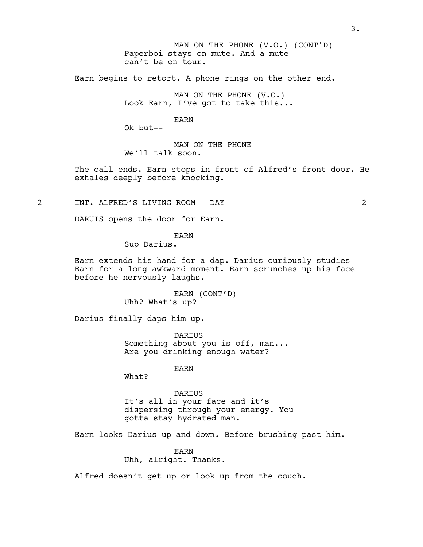Paperboi stays on mute. And a mute can't be on tour. MAN ON THE PHONE (V.O.) (CONT'D)

Earn begins to retort. A phone rings on the other end.

MAN ON THE PHONE (V.O.) Look Earn, I've got to take this...

EARN

Ok but--

MAN ON THE PHONE We'll talk soon.

The call ends. Earn stops in front of Alfred's front door. He exhales deeply before knocking.

2 INT. ALFRED'S LIVING ROOM - DAY 2

DARUIS opens the door for Earn.

EARN

Sup Darius.

Earn extends his hand for a dap. Darius curiously studies Earn for a long awkward moment. Earn scrunches up his face before he nervously laughs.

> EARN (CONT'D) Uhh? What's up?

Darius finally daps him up.

DARIUS Something about you is off, man... Are you drinking enough water?

EARN

What?

DARIUS It's all in your face and it's dispersing through your energy. You gotta stay hydrated man.

Earn looks Darius up and down. Before brushing past him.

EARN Uhh, alright. Thanks.

Alfred doesn't get up or look up from the couch.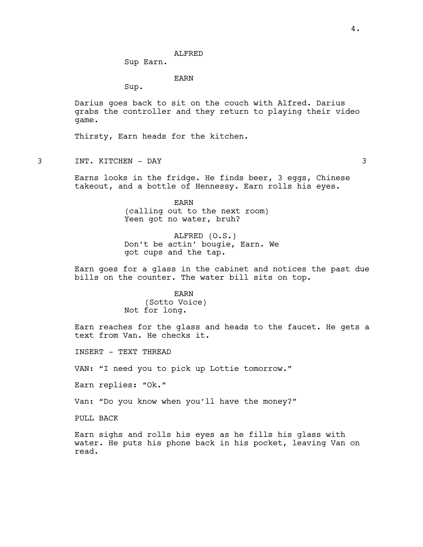Sup Earn.

EARN

Sup.

Darius goes back to sit on the couch with Alfred. Darius grabs the controller and they return to playing their video game.

Thirsty, Earn heads for the kitchen.

3 INT. KITCHEN - DAY 3

Earns looks in the fridge. He finds beer, 3 eggs, Chinese takeout, and a bottle of Hennessy. Earn rolls his eyes.

> EARN (calling out to the next room) Yeen got no water, bruh?

ALFRED (O.S.) Don't be actin' bougie, Earn. We got cups and the tap.

Earn goes for a glass in the cabinet and notices the past due bills on the counter. The water bill sits on top.

### EARN

(Sotto Voice) Not for long.

Earn reaches for the glass and heads to the faucet. He gets a text from Van. He checks it.

INSERT - TEXT THREAD

VAN: "I need you to pick up Lottie tomorrow."

Earn replies: "Ok."

Van: "Do you know when you'll have the money?"

PULL BACK

Earn sighs and rolls his eyes as he fills his glass with water. He puts his phone back in his pocket, leaving Van on read.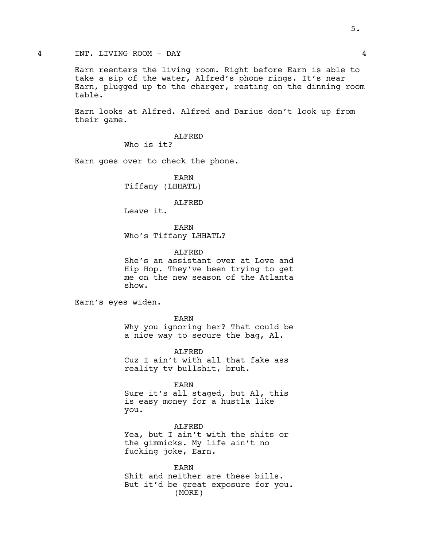## 4 INT. LIVING ROOM - DAY 4

Earn reenters the living room. Right before Earn is able to take a sip of the water, Alfred's phone rings. It's near Earn, plugged up to the charger, resting on the dinning room table.

Earn looks at Alfred. Alfred and Darius don't look up from their game.

> ALFRED Who is it?

Earn goes over to check the phone.

EARN Tiffany (LHHATL)

#### ALFRED

Leave it.

EARN Who's Tiffany LHHATL?

ALFRED

She's an assistant over at Love and Hip Hop. They've been trying to get me on the new season of the Atlanta show.

Earn's eyes widen.

EARN Why you ignoring her? That could be a nice way to secure the bag, Al.

ALFRED Cuz I ain't with all that fake ass reality tv bullshit, bruh.

EARN Sure it's all staged, but Al, this is easy money for a hustla like you.

ALFRED Yea, but I ain't with the shits or the gimmicks. My life ain't no fucking joke, Earn.

EARN Shit and neither are these bills. But it'd be great exposure for you. (MORE)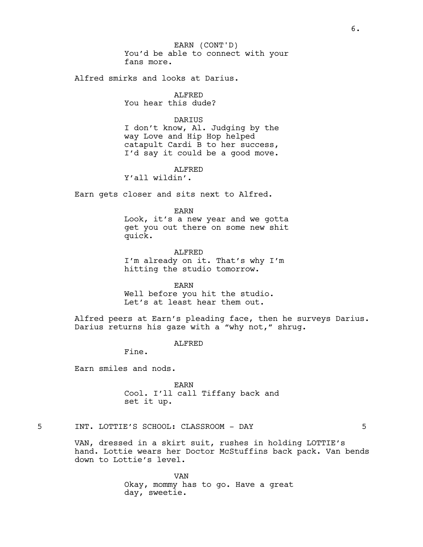You'd be able to connect with your fans more. EARN (CONT'D)

Alfred smirks and looks at Darius.

ALFRED You hear this dude?

## DARIUS

I don't know, Al. Judging by the way Love and Hip Hop helped catapult Cardi B to her success, I'd say it could be a good move.

ALFRED

Y'all wildin'.

Earn gets closer and sits next to Alfred.

EARN

Look, it's a new year and we gotta get you out there on some new shit quick.

ALFRED I'm already on it. That's why I'm hitting the studio tomorrow.

EARN

Well before you hit the studio. Let's at least hear them out.

Alfred peers at Earn's pleading face, then he surveys Darius. Darius returns his gaze with a "why not," shrug.

ALFRED

Fine.

Earn smiles and nods.

EARN Cool. I'll call Tiffany back and set it up.

5 INT. LOTTIE'S SCHOOL: CLASSROOM - DAY 5

VAN, dressed in a skirt suit, rushes in holding LOTTIE's hand. Lottie wears her Doctor McStuffins back pack. Van bends down to Lottie's level.

> VAN Okay, mommy has to go. Have a great day, sweetie.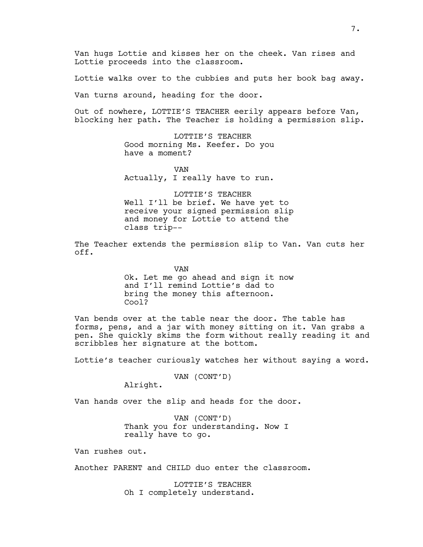Van hugs Lottie and kisses her on the cheek. Van rises and Lottie proceeds into the classroom.

Lottie walks over to the cubbies and puts her book bag away.

Van turns around, heading for the door.

Out of nowhere, LOTTIE'S TEACHER eerily appears before Van, blocking her path. The Teacher is holding a permission slip.

> LOTTIE'S TEACHER Good morning Ms. Keefer. Do you have a moment?

> VAN Actually, I really have to run.

LOTTIE'S TEACHER Well I'll be brief. We have yet to receive your signed permission slip and money for Lottie to attend the class trip--

The Teacher extends the permission slip to Van. Van cuts her off.

> VAN Ok. Let me go ahead and sign it now and I'll remind Lottie's dad to bring the money this afternoon. Cool?

Van bends over at the table near the door. The table has forms, pens, and a jar with money sitting on it. Van grabs a pen. She quickly skims the form without really reading it and scribbles her signature at the bottom.

Lottie's teacher curiously watches her without saying a word.

VAN (CONT'D)

Alright.

Van hands over the slip and heads for the door.

VAN (CONT'D) Thank you for understanding. Now I really have to go.

Van rushes out.

Another PARENT and CHILD duo enter the classroom.

LOTTIE'S TEACHER Oh I completely understand.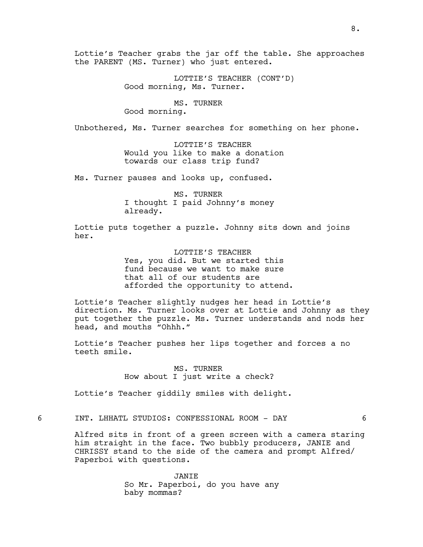Lottie's Teacher grabs the jar off the table. She approaches the PARENT (MS. Turner) who just entered.

> LOTTIE'S TEACHER (CONT'D) Good morning, Ms. Turner.

MS. TURNER Good morning.

Unbothered, Ms. Turner searches for something on her phone.

LOTTIE'S TEACHER Would you like to make a donation towards our class trip fund?

Ms. Turner pauses and looks up, confused.

MS. TURNER I thought I paid Johnny's money already.

Lottie puts together a puzzle. Johnny sits down and joins her.

> LOTTIE'S TEACHER Yes, you did. But we started this fund because we want to make sure that all of our students are afforded the opportunity to attend.

Lottie's Teacher slightly nudges her head in Lottie's direction. Ms. Turner looks over at Lottie and Johnny as they put together the puzzle. Ms. Turner understands and nods her head, and mouths "Ohhh."

Lottie's Teacher pushes her lips together and forces a no teeth smile.

> MS. TURNER How about I just write a check?

Lottie's Teacher giddily smiles with delight.

6 INT. LHHATL STUDIOS: CONFESSIONAL ROOM - DAY 6

Alfred sits in front of a green screen with a camera staring him straight in the face. Two bubbly producers, JANIE and CHRISSY stand to the side of the camera and prompt Alfred/ Paperboi with questions.

> JANIE So Mr. Paperboi, do you have any baby mommas?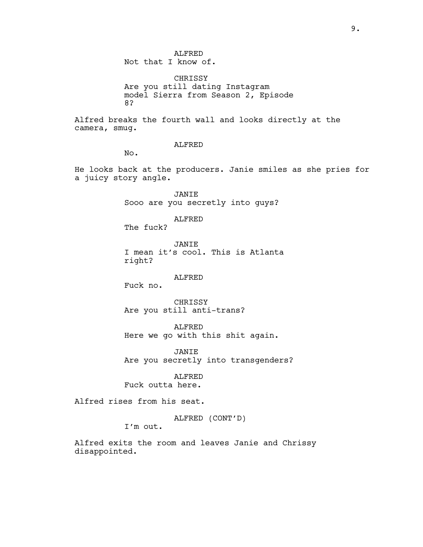CHRISSY Are you still dating Instagram model Sierra from Season 2, Episode 8?

Alfred breaks the fourth wall and looks directly at the camera, smug.

ALFRED

No.

He looks back at the producers. Janie smiles as she pries for a juicy story angle.

> JANIE Sooo are you secretly into guys?

> > ALFRED

The fuck?

JANIE I mean it's cool. This is Atlanta right?

### ALFRED

Fuck no.

CHRISSY Are you still anti-trans?

ALFRED Here we go with this shit again.

JANIE Are you secretly into transgenders?

ALFRED Fuck outta here.

Alfred rises from his seat.

ALFRED (CONT'D)

I'm out.

Alfred exits the room and leaves Janie and Chrissy disappointed.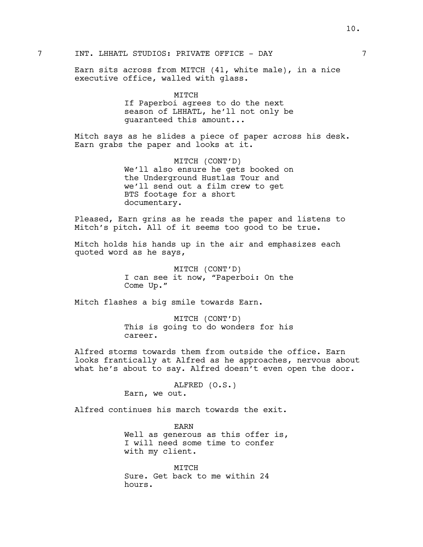Earn sits across from MITCH (41, white male), in a nice executive office, walled with glass.

# MITCH If Paperboi agrees to do the next season of LHHATL, he'll not only be guaranteed this amount...

Mitch says as he slides a piece of paper across his desk. Earn grabs the paper and looks at it.

> MITCH (CONT'D) We'll also ensure he gets booked on the Underground Hustlas Tour and we'll send out a film crew to get BTS footage for a short documentary.

Pleased, Earn grins as he reads the paper and listens to Mitch's pitch. All of it seems too good to be true.

Mitch holds his hands up in the air and emphasizes each quoted word as he says,

> MITCH (CONT'D) I can see it now, "Paperboi: On the Come Up."

Mitch flashes a big smile towards Earn.

MITCH (CONT'D) This is going to do wonders for his career.

Alfred storms towards them from outside the office. Earn looks frantically at Alfred as he approaches, nervous about what he's about to say. Alfred doesn't even open the door.

> ALFRED (O.S.) Earn, we out.

Alfred continues his march towards the exit.

EARN Well as generous as this offer is, I will need some time to confer with my client.

MITCH Sure. Get back to me within 24 hours.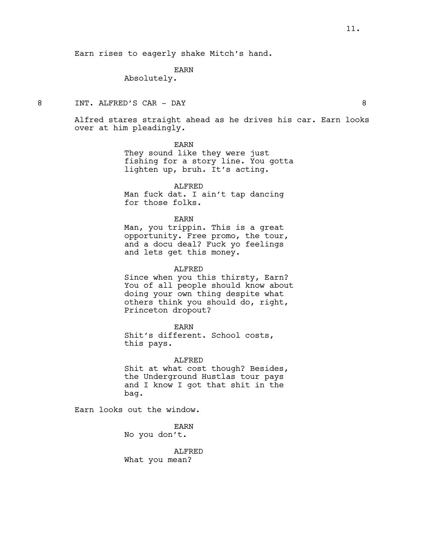Earn rises to eagerly shake Mitch's hand.

## EARN

Absolutely.

8 INT. ALFRED'S CAR - DAY 8

Alfred stares straight ahead as he drives his car. Earn looks over at him pleadingly.

EARN

They sound like they were just fishing for a story line. You gotta lighten up, bruh. It's acting.

ALFRED Man fuck dat. I ain't tap dancing for those folks.

EARN

Man, you trippin. This is a great opportunity. Free promo, the tour, and a docu deal? Fuck yo feelings and lets get this money.

ALFRED

Since when you this thirsty, Earn? You of all people should know about doing your own thing despite what others think you should do, right, Princeton dropout?

EARN

Shit's different. School costs, this pays.

ALFRED Shit at what cost though? Besides, the Underground Hustlas tour pays and I know I got that shit in the bag.

Earn looks out the window.

EARN No you don't.

ALFRED What you mean?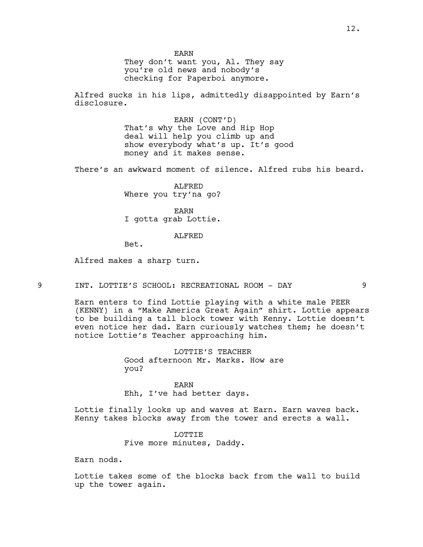EARN

They don't want you, Al. They say you're old news and nobody's checking for Paperboi anymore.

Alfred sucks in his lips, admittedly disappointed by Earn's disclosure.

> EARN (CONT'D) That's why the Love and Hip Hop deal will help you climb up and show everybody what's up. It's good money and it makes sense.

There's an awkward moment of silence. Alfred rubs his beard.

ALFRED Where you try'na go?

EARN I gotta grab Lottie.

#### ALFRED

Bet.

Alfred makes a sharp turn.

9 INT. LOTTIE'S SCHOOL: RECREATIONAL ROOM - DAY 9

Earn enters to find Lottie playing with a white male PEER (KENNY) in a "Make America Great Again" shirt. Lottie appears to be building a tall block tower with Kenny. Lottie doesn't even notice her dad. Earn curiously watches them; he doesn't notice Lottie's Teacher approaching him.

> LOTTIE'S TEACHER Good afternoon Mr. Marks. How are you?

EARN Ehh, I've had better days.

Lottie finally looks up and waves at Earn. Earn waves back. Kenny takes blocks away from the tower and erects a wall.

> LOTTIE Five more minutes, Daddy.

Earn nods.

Lottie takes some of the blocks back from the wall to build up the tower again.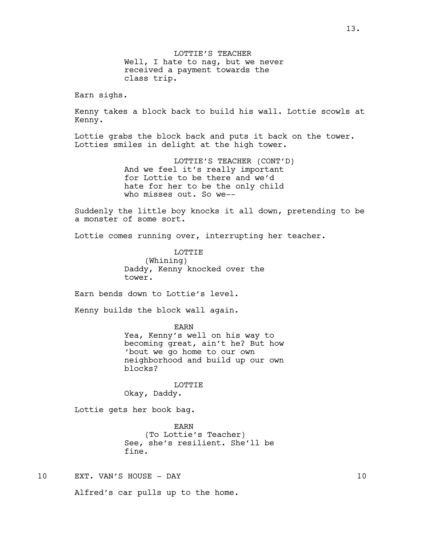LOTTIE'S TEACHER Well, I hate to nag, but we never received a payment towards the class trip. Earn sighs. Kenny takes a block back to build his wall. Lottie scowls at Kenny. Lottie grabs the block back and puts it back on the tower. Lotties smiles in delight at the high tower. LOTTIE'S TEACHER (CONT'D) And we feel it's really important for Lottie to be there and we'd hate for her to be the only child who misses out. So we-- Suddenly the little boy knocks it all down, pretending to be a monster of some sort. Lottie comes running over, interrupting her teacher. **LOTTIE** (Whining) Daddy, Kenny knocked over the tower. Earn bends down to Lottie's level. Kenny builds the block wall again. EARN Yea, Kenny's well on his way to becoming great, ain't he? But how 'bout we go home to our own neighborhood and build up our own blocks? LOTTIE Okay, Daddy. Lottie gets her book bag. EARN (To Lottie's Teacher) See, she's resilient. She'll be fine. 10 EXT. VAN'S HOUSE - DAY 10

Alfred's car pulls up to the home.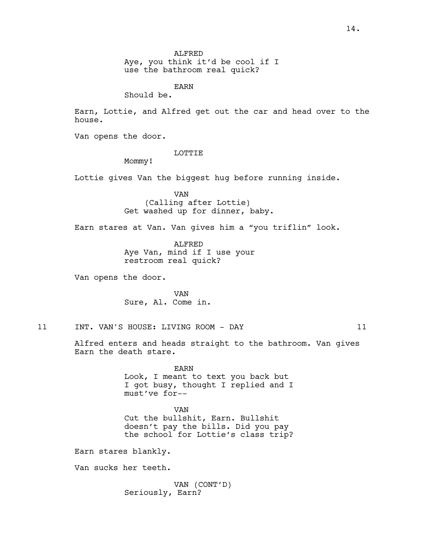Aye, you think it'd be cool if I use the bathroom real quick?

EARN

Should be.

Earn, Lottie, and Alfred get out the car and head over to the house.

Van opens the door.

#### LOTTIE

Mommy!

Lottie gives Van the biggest hug before running inside.

VAN (Calling after Lottie) Get washed up for dinner, baby.

Earn stares at Van. Van gives him a "you triflin" look.

ALFRED Aye Van, mind if I use your restroom real quick?

Van opens the door.

VAN Sure, Al. Come in.

11 INT. VAN'S HOUSE: LIVING ROOM - DAY 11

Alfred enters and heads straight to the bathroom. Van gives Earn the death stare.

> EARN Look, I meant to text you back but I got busy, thought I replied and I must've for--

> VAN Cut the bullshit, Earn. Bullshit doesn't pay the bills. Did you pay the school for Lottie's class trip?

Earn stares blankly.

Van sucks her teeth.

VAN (CONT'D) Seriously, Earn?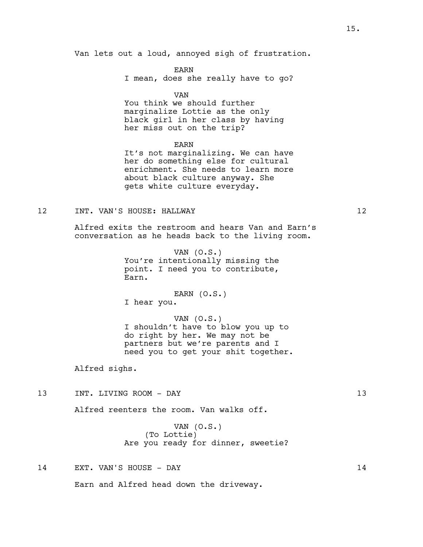EARN I mean, does she really have to go?

VAN

You think we should further marginalize Lottie as the only black girl in her class by having her miss out on the trip?

EARN

It's not marginalizing. We can have her do something else for cultural enrichment. She needs to learn more about black culture anyway. She gets white culture everyday.

## 12 INT. VAN'S HOUSE: HALLWAY 12

Alfred exits the restroom and hears Van and Earn's conversation as he heads back to the living room.

> VAN (O.S.) You're intentionally missing the point. I need you to contribute, Earn.

EARN (O.S.) I hear you.

VAN (O.S.) I shouldn't have to blow you up to do right by her. We may not be partners but we're parents and I need you to get your shit together.

Alfred sighs.

13 INT. LIVING ROOM - DAY 13

Alfred reenters the room. Van walks off.

VAN (O.S.) (To Lottie) Are you ready for dinner, sweetie?

14 EXT. VAN'S HOUSE - DAY 14

Earn and Alfred head down the driveway.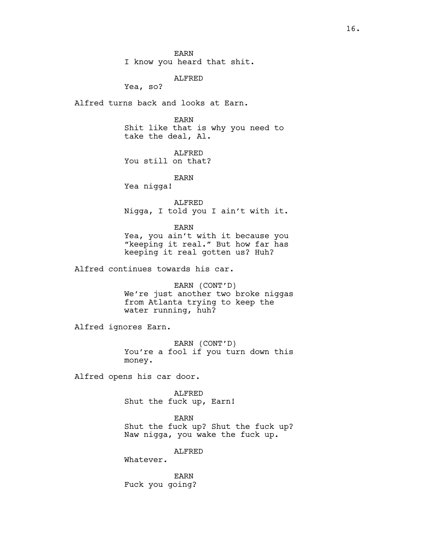EARN

I know you heard that shit.

ALFRED

Yea, so?

Alfred turns back and looks at Earn.

EARN Shit like that is why you need to take the deal, Al.

ALFRED You still on that?

EARN

Yea nigga!

ALFRED Nigga, I told you I ain't with it.

EARN

Yea, you ain't with it because you "keeping it real." But how far has keeping it real gotten us? Huh?

Alfred continues towards his car.

EARN (CONT'D) We're just another two broke niggas from Atlanta trying to keep the water running, huh?

Alfred ignores Earn.

EARN (CONT'D) You're a fool if you turn down this money.

Alfred opens his car door.

ALFRED Shut the fuck up, Earn!

EARN Shut the fuck up? Shut the fuck up? Naw nigga, you wake the fuck up.

ALFRED

Whatever.

EARN Fuck you going?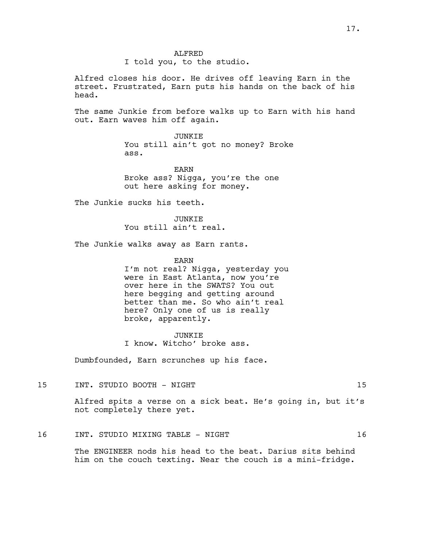#### ALFRED

## I told you, to the studio.

Alfred closes his door. He drives off leaving Earn in the street. Frustrated, Earn puts his hands on the back of his head.

The same Junkie from before walks up to Earn with his hand out. Earn waves him off again.

> JUNKIE You still ain't got no money? Broke ass.

EARN Broke ass? Nigga, you're the one out here asking for money.

The Junkie sucks his teeth.

JUNKIE You still ain't real.

The Junkie walks away as Earn rants.

EARN

I'm not real? Nigga, yesterday you were in East Atlanta, now you're over here in the SWATS? You out here begging and getting around better than me. So who ain't real here? Only one of us is really broke, apparently.

JUNKIE I know. Witcho' broke ass.

Dumbfounded, Earn scrunches up his face.

15 INT. STUDIO BOOTH - NIGHT 15

Alfred spits a verse on a sick beat. He's going in, but it's not completely there yet.

## 16 INT. STUDIO MIXING TABLE - NIGHT 16

The ENGINEER nods his head to the beat. Darius sits behind him on the couch texting. Near the couch is a mini-fridge.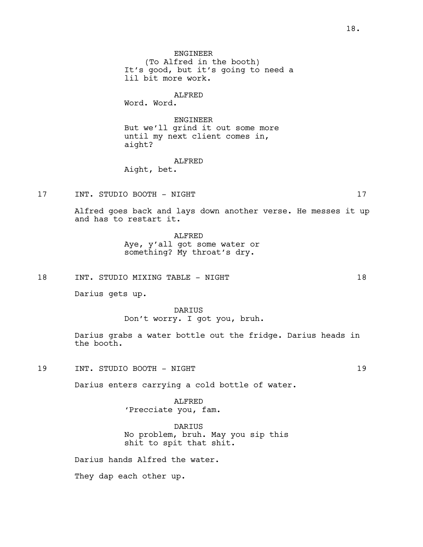ALFRED

Word. Word.

ENGINEER But we'll grind it out some more until my next client comes in, aight?

## ALFRED

Aight, bet.

17 INT. STUDIO BOOTH - NIGHT 17

Alfred goes back and lays down another verse. He messes it up and has to restart it.

### ALFRED

Aye, y'all got some water or something? My throat's dry.

18 INT. STUDIO MIXING TABLE - NIGHT 18

Darius gets up.

DARIUS Don't worry. I got you, bruh.

Darius grabs a water bottle out the fridge. Darius heads in the booth.

19 INT. STUDIO BOOTH - NIGHT 19

Darius enters carrying a cold bottle of water.

ALFRED 'Precciate you, fam.

DARIUS No problem, bruh. May you sip this shit to spit that shit.

Darius hands Alfred the water.

They dap each other up.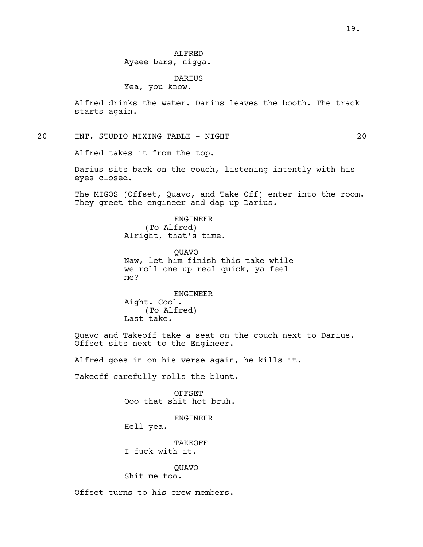# DARIUS

Yea, you know.

Alfred drinks the water. Darius leaves the booth. The track starts again.

20 INT. STUDIO MIXING TABLE - NIGHT 20

Alfred takes it from the top.

Darius sits back on the couch, listening intently with his eyes closed.

The MIGOS (Offset, Quavo, and Take Off) enter into the room. They greet the engineer and dap up Darius.

> ENGINEER (To Alfred) Alright, that's time.

QUAVO Naw, let him finish this take while we roll one up real quick, ya feel me?

ENGINEER Aight. Cool. (To Alfred) Last take.

Quavo and Takeoff take a seat on the couch next to Darius. Offset sits next to the Engineer.

Alfred goes in on his verse again, he kills it.

Takeoff carefully rolls the blunt.

OFFSET Ooo that shit hot bruh.

ENGINEER

Hell yea.

TAKEOFF I fuck with it.

QUAVO

Shit me too.

Offset turns to his crew members.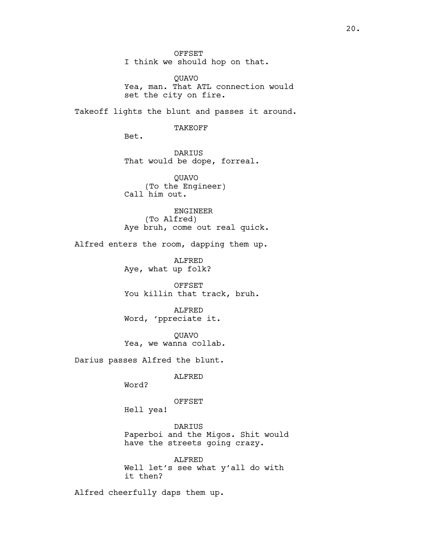OFFSET I think we should hop on that.

QUAVO Yea, man. That ATL connection would set the city on fire.

Takeoff lights the blunt and passes it around.

TAKEOFF

Bet.

DARIUS That would be dope, forreal.

QUAVO (To the Engineer) Call him out.

ENGINEER (To Alfred) Aye bruh, come out real quick.

Alfred enters the room, dapping them up.

ALFRED Aye, what up folk?

OFFSET You killin that track, bruh.

ALFRED Word, 'ppreciate it.

QUAVO Yea, we wanna collab.

Darius passes Alfred the blunt.

ALFRED

Word?

OFFSET

Hell yea!

DARIUS Paperboi and the Migos. Shit would have the streets going crazy.

ALFRED Well let's see what y'all do with it then?

Alfred cheerfully daps them up.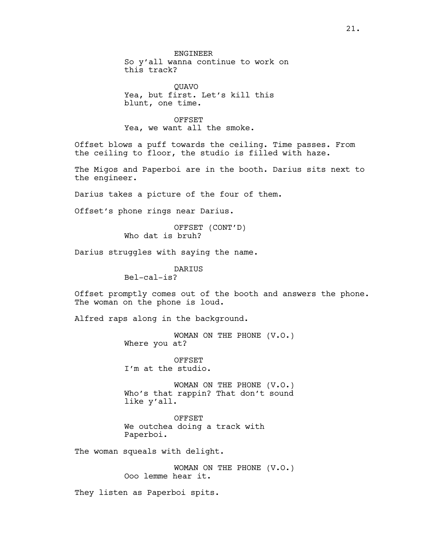QUAVO Yea, but first. Let's kill this blunt, one time.

#### OFFSET

Yea, we want all the smoke.

Offset blows a puff towards the ceiling. Time passes. From the ceiling to floor, the studio is filled with haze.

The Migos and Paperboi are in the booth. Darius sits next to the engineer.

Darius takes a picture of the four of them.

Offset's phone rings near Darius.

OFFSET (CONT'D) Who dat is bruh?

Darius struggles with saying the name.

DARIUS

Bel-cal-is?

Offset promptly comes out of the booth and answers the phone. The woman on the phone is loud.

Alfred raps along in the background.

WOMAN ON THE PHONE (V.O.) Where you at?

OFFSET I'm at the studio.

WOMAN ON THE PHONE (V.O.) Who's that rappin? That don't sound like y'all.

OFFSET We outchea doing a track with Paperboi.

The woman squeals with delight.

WOMAN ON THE PHONE (V.O.) Ooo lemme hear it.

They listen as Paperboi spits.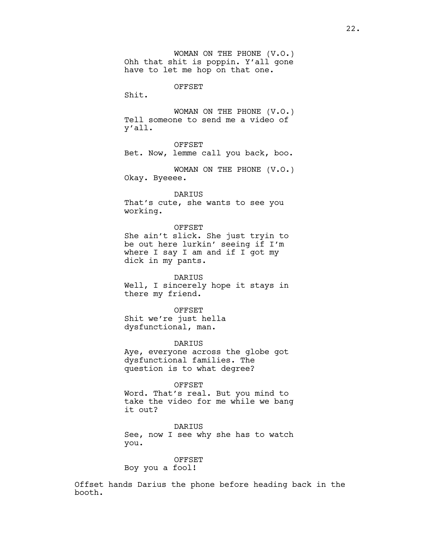WOMAN ON THE PHONE (V.O.) Ohh that shit is poppin. Y'all gone have to let me hop on that one.

OFFSET

Shit.

WOMAN ON THE PHONE (V.O.) Tell someone to send me a video of y'all.

OFFSET

Bet. Now, lemme call you back, boo.

WOMAN ON THE PHONE (V.O.) Okay. Byeeee.

DARIUS That's cute, she wants to see you working.

OFFSET She ain't slick. She just tryin to be out here lurkin' seeing if I'm where I say I am and if I got my dick in my pants.

DARIUS Well, I sincerely hope it stays in there my friend.

OFFSET Shit we're just hella dysfunctional, man.

DARIUS Aye, everyone across the globe got dysfunctional families. The question is to what degree?

OFFSET

Word. That's real. But you mind to take the video for me while we bang it out?

DARIUS See, now I see why she has to watch you.

OFFSET Boy you a fool!

Offset hands Darius the phone before heading back in the booth.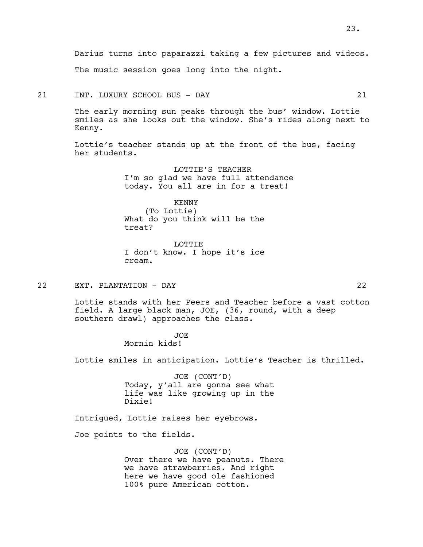Darius turns into paparazzi taking a few pictures and videos. The music session goes long into the night.

21 INT. LUXURY SCHOOL BUS - DAY 21

The early morning sun peaks through the bus' window. Lottie smiles as she looks out the window. She's rides along next to Kenny.

Lottie's teacher stands up at the front of the bus, facing her students.

> LOTTIE'S TEACHER I'm so glad we have full attendance today. You all are in for a treat!

> > KENNY (To Lottie)

What do you think will be the treat?

LOTTIE I don't know. I hope it's ice cream.

22 EXT. PLANTATION - DAY 22

Lottie stands with her Peers and Teacher before a vast cotton field. A large black man, JOE, (36, round, with a deep southern drawl) approaches the class.

JOE

Mornin kids!

Lottie smiles in anticipation. Lottie's Teacher is thrilled.

JOE (CONT'D) Today, y'all are gonna see what life was like growing up in the Dixie!

Intrigued, Lottie raises her eyebrows.

Joe points to the fields.

JOE (CONT'D) Over there we have peanuts. There we have strawberries. And right here we have good ole fashioned 100% pure American cotton.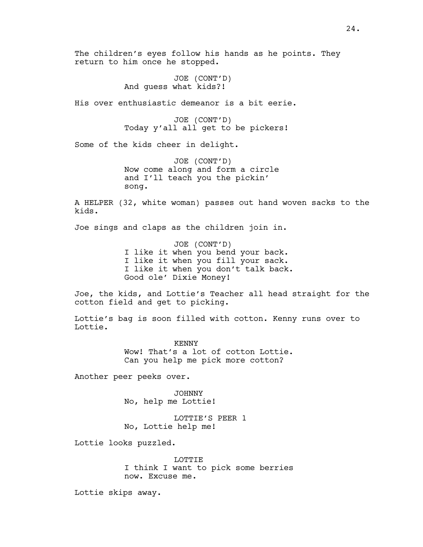The children's eyes follow his hands as he points. They return to him once he stopped.

> JOE (CONT'D) And guess what kids?!

His over enthusiastic demeanor is a bit eerie.

JOE (CONT'D) Today y'all all get to be pickers!

Some of the kids cheer in delight.

JOE (CONT'D) Now come along and form a circle and I'll teach you the pickin' song.

A HELPER (32, white woman) passes out hand woven sacks to the kids.

Joe sings and claps as the children join in.

JOE (CONT'D) I like it when you bend your back. I like it when you fill your sack. I like it when you don't talk back. Good ole' Dixie Money!

Joe, the kids, and Lottie's Teacher all head straight for the cotton field and get to picking.

Lottie's bag is soon filled with cotton. Kenny runs over to Lottie.

> KENNY Wow! That's a lot of cotton Lottie. Can you help me pick more cotton?

Another peer peeks over.

JOHNNY No, help me Lottie!

LOTTIE'S PEER 1 No, Lottie help me!

Lottie looks puzzled.

LOTTIE I think I want to pick some berries now. Excuse me.

Lottie skips away.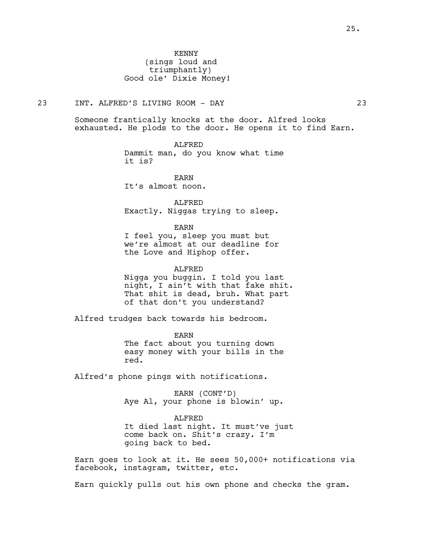# 23 INT. ALFRED'S LIVING ROOM - DAY 23

Someone frantically knocks at the door. Alfred looks exhausted. He plods to the door. He opens it to find Earn.

ALFRED

Dammit man, do you know what time it is?

EARN It's almost noon.

ALFRED Exactly. Niggas trying to sleep.

EARN

I feel you, sleep you must but we're almost at our deadline for the Love and Hiphop offer.

ALFRED Nigga you buggin. I told you last night, I ain't with that fake shit. That shit is dead, bruh. What part of that don't you understand?

Alfred trudges back towards his bedroom.

EARN The fact about you turning down easy money with your bills in the red.

Alfred's phone pings with notifications.

EARN (CONT'D) Aye Al, your phone is blowin' up.

ALFRED It died last night. It must've just come back on. Shit's crazy. I'm going back to bed.

Earn goes to look at it. He sees 50,000+ notifications via facebook, instagram, twitter, etc.

Earn quickly pulls out his own phone and checks the gram.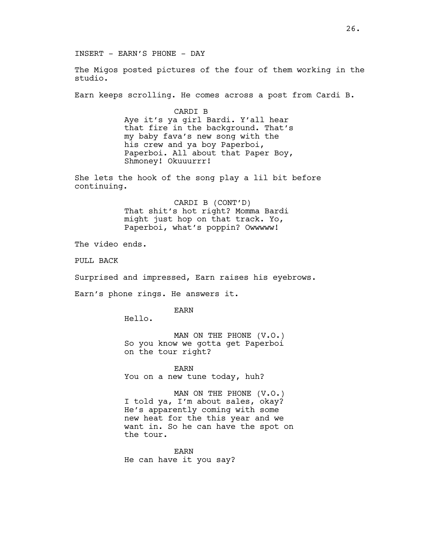INSERT - EARN'S PHONE - DAY

The Migos posted pictures of the four of them working in the studio.

Earn keeps scrolling. He comes across a post from Cardi B.

CARDI B Aye it's ya girl Bardi. Y'all hear that fire in the background. That's my baby fava's new song with the his crew and ya boy Paperboi, Paperboi. All about that Paper Boy, Shmoney! Okuuurrr!

She lets the hook of the song play a lil bit before continuing.

> CARDI B (CONT'D) That shit's hot right? Momma Bardi might just hop on that track. Yo, Paperboi, what's poppin? Owwwww!

The video ends.

PULL BACK

Surprised and impressed, Earn raises his eyebrows.

Earn's phone rings. He answers it.

EARN

Hello.

MAN ON THE PHONE (V.O.) So you know we gotta get Paperboi on the tour right?

EARN You on a new tune today, huh?

MAN ON THE PHONE (V.O.) I told ya, I'm about sales, okay? He's apparently coming with some new heat for the this year and we want in. So he can have the spot on the tour.

EARN He can have it you say?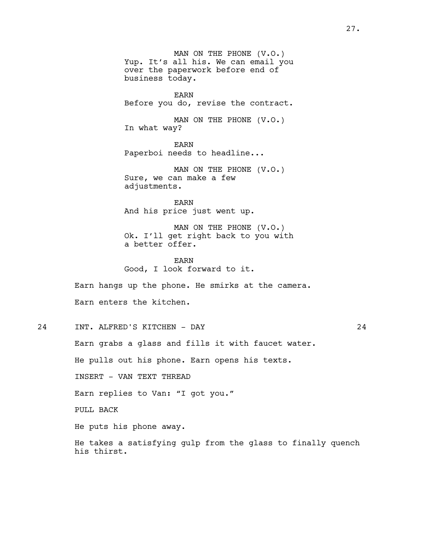MAN ON THE PHONE (V.O.) Yup. It's all his. We can email you over the paperwork before end of business today. EARN Before you do, revise the contract. MAN ON THE PHONE (V.O.) In what way? EARN Paperboi needs to headline... MAN ON THE PHONE (V.O.) Sure, we can make a few adjustments. EARN And his price just went up. MAN ON THE PHONE (V.O.) Ok. I'll get right back to you with a better offer. EARN Good, I look forward to it. Earn hangs up the phone. He smirks at the camera. Earn enters the kitchen. 24 INT. ALFRED'S KITCHEN - DAY 24 Earn grabs a glass and fills it with faucet water. He pulls out his phone. Earn opens his texts. INSERT - VAN TEXT THREAD Earn replies to Van: "I got you." PULL BACK

He puts his phone away.

He takes a satisfying gulp from the glass to finally quench his thirst.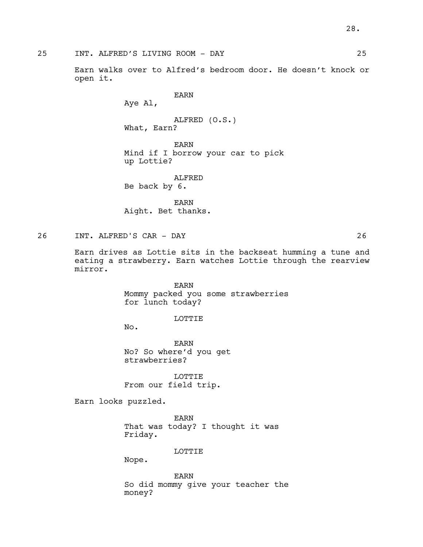25 INT. ALFRED'S LIVING ROOM - DAY 25

Earn walks over to Alfred's bedroom door. He doesn't knock or open it.

EARN

Aye Al,

ALFRED (O.S.) What, Earn?

EARN Mind if I borrow your car to pick up Lottie?

ALFRED Be back by 6.

EARN Aight. Bet thanks.

26 INT. ALFRED'S CAR - DAY 26

Earn drives as Lottie sits in the backseat humming a tune and eating a strawberry. Earn watches Lottie through the rearview mirror.

> EARN Mommy packed you some strawberries for lunch today?

> > LOTTIE

No.

EARN No? So where'd you get strawberries?

LOTTIE From our field trip.

Earn looks puzzled.

EARN That was today? I thought it was Friday.

LOTTIE

Nope.

EARN So did mommy give your teacher the money?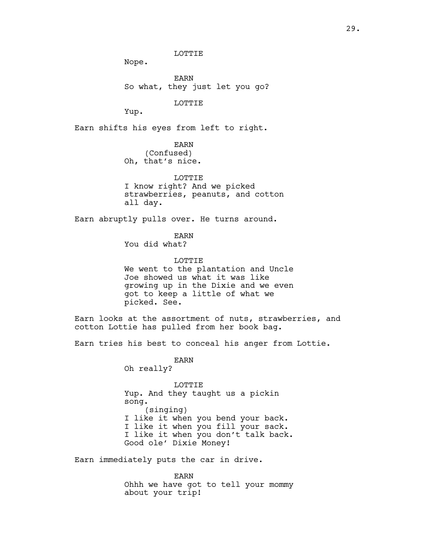Nope.

EARN So what, they just let you go?

LOTTIE

LOTTIE

Yup.

Earn shifts his eyes from left to right.

EARN (Confused) Oh, that's nice.

LOTTIE I know right? And we picked strawberries, peanuts, and cotton all day.

Earn abruptly pulls over. He turns around.

EARN

You did what?

LOTTIE We went to the plantation and Uncle Joe showed us what it was like growing up in the Dixie and we even got to keep a little of what we picked. See.

Earn looks at the assortment of nuts, strawberries, and cotton Lottie has pulled from her book bag.

Earn tries his best to conceal his anger from Lottie.

EARN Oh really?

LOTTIE Yup. And they taught us a pickin song. (singing) I like it when you bend your back. I like it when you fill your sack. I like it when you don't talk back. Good ole' Dixie Money!

Earn immediately puts the car in drive.

EARN Ohhh we have got to tell your mommy about your trip!